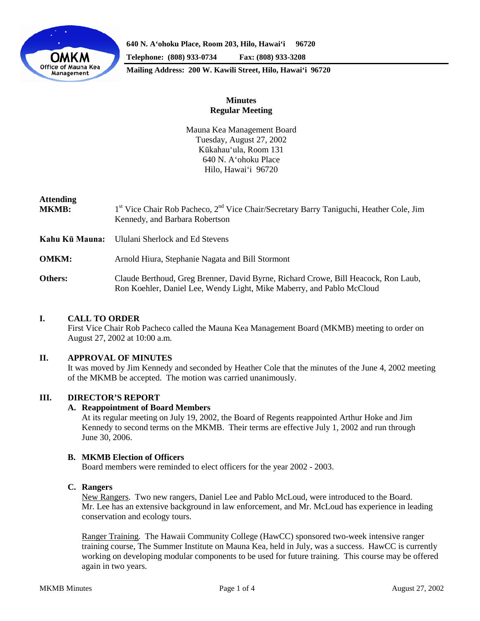

**640 N. A'ohoku Place, Room 203, Hilo, Hawai'i 96720 Telephone: (808) 933-0734 Fax: (808) 933-3208 Mailing Address: 200 W. Kawili Street, Hilo, Hawai'i 96720**

# **Minutes Regular Meeting**

Mauna Kea Management Board Tuesday, August 27, 2002 Kūkahau'ula, Room 131 640 N. A'ohoku Place Hilo, Hawai'i 96720

# **Attending**

| <b>MKMB:</b>   | 1 <sup>st</sup> Vice Chair Rob Pacheco, 2 <sup>nd</sup> Vice Chair/Secretary Barry Taniguchi, Heather Cole, Jim<br>Kennedy, and Barbara Robertson           |
|----------------|-------------------------------------------------------------------------------------------------------------------------------------------------------------|
| Kahu Kū Mauna: | Ululani Sherlock and Ed Stevens                                                                                                                             |
| <b>OMKM:</b>   | Arnold Hiura, Stephanie Nagata and Bill Stormont                                                                                                            |
| Others:        | Claude Berthoud, Greg Brenner, David Byrne, Richard Crowe, Bill Heacock, Ron Laub,<br>Ron Koehler, Daniel Lee, Wendy Light, Mike Maberry, and Pablo McCloud |

### **I. CALL TO ORDER**

First Vice Chair Rob Pacheco called the Mauna Kea Management Board (MKMB) meeting to order on August 27, 2002 at 10:00 a.m.

# **II. APPROVAL OF MINUTES**

It was moved by Jim Kennedy and seconded by Heather Cole that the minutes of the June 4, 2002 meeting of the MKMB be accepted. The motion was carried unanimously.

## **III. DIRECTOR'S REPORT**

### **A. Reappointment of Board Members**

At its regular meeting on July 19, 2002, the Board of Regents reappointed Arthur Hoke and Jim Kennedy to second terms on the MKMB. Their terms are effective July 1, 2002 and run through June 30, 2006.

### **B. MKMB Election of Officers**

Board members were reminded to elect officers for the year 2002 - 2003.

## **C. Rangers**

New Rangers. Two new rangers, Daniel Lee and Pablo McLoud, were introduced to the Board. Mr. Lee has an extensive background in law enforcement, and Mr. McLoud has experience in leading conservation and ecology tours.

Ranger Training. The Hawaii Community College (HawCC) sponsored two-week intensive ranger training course, The Summer Institute on Mauna Kea, held in July, was a success. HawCC is currently working on developing modular components to be used for future training. This course may be offered again in two years.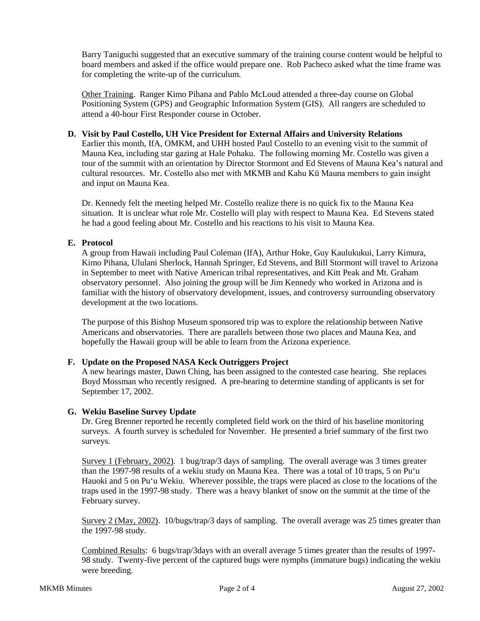Barry Taniguchi suggested that an executive summary of the training course content would be helpful to board members and asked if the office would prepare one. Rob Pacheco asked what the time frame was for completing the write-up of the curriculum.

Other Training. Ranger Kimo Pihana and Pablo McLoud attended a three-day course on Global Positioning System (GPS) and Geographic Information System (GIS). All rangers are scheduled to attend a 40-hour First Responder course in October.

#### **D. Visit by Paul Costello, UH Vice President for External Affairs and University Relations**

Earlier this month, IfA, OMKM, and UHH hosted Paul Costello to an evening visit to the summit of Mauna Kea, including star gazing at Hale Pohaku. The following morning Mr. Costello was given a tour of the summit with an orientation by Director Stormont and Ed Stevens of Mauna Kea's natural and cultural resources. Mr. Costello also met with MKMB and Kahu Kū Mauna members to gain insight and input on Mauna Kea.

Dr. Kennedy felt the meeting helped Mr. Costello realize there is no quick fix to the Mauna Kea situation. It is unclear what role Mr. Costello will play with respect to Mauna Kea. Ed Stevens stated he had a good feeling about Mr. Costello and his reactions to his visit to Mauna Kea.

#### **E. Protocol**

A group from Hawaii including Paul Coleman (IfA), Arthur Hoke, Guy Kaulukukui, Larry Kimura, Kimo Pihana, Ululani Sherlock, Hannah Springer, Ed Stevens, and Bill Stormont will travel to Arizona in September to meet with Native American tribal representatives, and Kitt Peak and Mt. Graham observatory personnel. Also joining the group will be Jim Kennedy who worked in Arizona and is familiar with the history of observatory development, issues, and controversy surrounding observatory development at the two locations.

The purpose of this Bishop Museum sponsored trip was to explore the relationship between Native Americans and observatories. There are parallels between those two places and Mauna Kea, and hopefully the Hawaii group will be able to learn from the Arizona experience.

### **F. Update on the Proposed NASA Keck Outriggers Project**

A new hearings master, Dawn Ching, has been assigned to the contested case hearing. She replaces Boyd Mossman who recently resigned. A pre-hearing to determine standing of applicants is set for September 17, 2002.

#### **G. Wekiu Baseline Survey Update**

Dr. Greg Brenner reported he recently completed field work on the third of his baseline monitoring surveys. A fourth survey is scheduled for November. He presented a brief summary of the first two surveys.

Survey 1 (February, 2002). 1 bug/trap/3 days of sampling. The overall average was 3 times greater than the 1997-98 results of a wekiu study on Mauna Kea. There was a total of 10 traps, 5 on Pu'u Hauoki and 5 on Pu'u Wekiu. Wherever possible, the traps were placed as close to the locations of the traps used in the 1997-98 study. There was a heavy blanket of snow on the summit at the time of the February survey.

Survey 2 (May, 2002). 10/bugs/trap/3 days of sampling. The overall average was 25 times greater than the 1997-98 study.

Combined Results: 6 bugs/trap/3days with an overall average 5 times greater than the results of 1997- 98 study. Twenty-five percent of the captured bugs were nymphs (immature bugs) indicating the wekiu were breeding.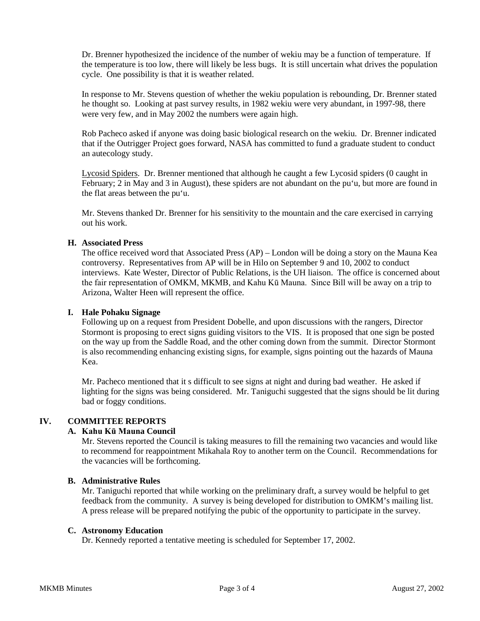Dr. Brenner hypothesized the incidence of the number of wekiu may be a function of temperature. If the temperature is too low, there will likely be less bugs. It is still uncertain what drives the population cycle. One possibility is that it is weather related.

In response to Mr. Stevens question of whether the wekiu population is rebounding, Dr. Brenner stated he thought so. Looking at past survey results, in 1982 wekiu were very abundant, in 1997-98, there were very few, and in May 2002 the numbers were again high.

Rob Pacheco asked if anyone was doing basic biological research on the wekiu. Dr. Brenner indicated that if the Outrigger Project goes forward, NASA has committed to fund a graduate student to conduct an autecology study.

Lycosid Spiders. Dr. Brenner mentioned that although he caught a few Lycosid spiders (0 caught in February; 2 in May and 3 in August), these spiders are not abundant on the pu'u, but more are found in the flat areas between the pu'u.

Mr. Stevens thanked Dr. Brenner for his sensitivity to the mountain and the care exercised in carrying out his work.

#### **H. Associated Press**

The office received word that Associated Press (AP) – London will be doing a story on the Mauna Kea controversy. Representatives from AP will be in Hilo on September 9 and 10, 2002 to conduct interviews. Kate Wester, Director of Public Relations, is the UH liaison. The office is concerned about the fair representation of OMKM, MKMB, and Kahu Kū Mauna. Since Bill will be away on a trip to Arizona, Walter Heen will represent the office.

### **I. Hale Pohaku Signage**

Following up on a request from President Dobelle, and upon discussions with the rangers, Director Stormont is proposing to erect signs guiding visitors to the VIS. It is proposed that one sign be posted on the way up from the Saddle Road, and the other coming down from the summit. Director Stormont is also recommending enhancing existing signs, for example, signs pointing out the hazards of Mauna Kea.

Mr. Pacheco mentioned that it s difficult to see signs at night and during bad weather. He asked if lighting for the signs was being considered. Mr. Taniguchi suggested that the signs should be lit during bad or foggy conditions.

### **IV. COMMITTEE REPORTS**

## **A. Kahu Kū Mauna Council**

Mr. Stevens reported the Council is taking measures to fill the remaining two vacancies and would like to recommend for reappointment Mikahala Roy to another term on the Council. Recommendations for the vacancies will be forthcoming.

#### **B. Administrative Rules**

Mr. Taniguchi reported that while working on the preliminary draft, a survey would be helpful to get feedback from the community. A survey is being developed for distribution to OMKM's mailing list. A press release will be prepared notifying the pubic of the opportunity to participate in the survey.

#### **C. Astronomy Education**

Dr. Kennedy reported a tentative meeting is scheduled for September 17, 2002.